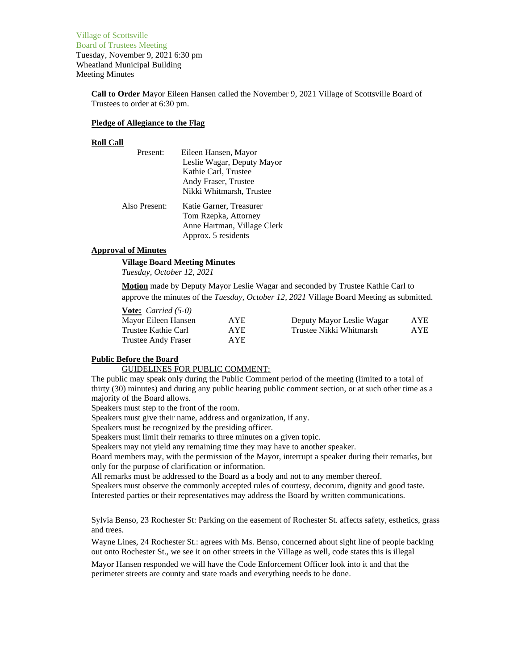Village of Scottsville Board of Trustees Meeting Tuesday, November 9, 2021 6:30 pm Wheatland Municipal Building Meeting Minutes

> **Call to Order** Mayor Eileen Hansen called the November 9, 2021 Village of Scottsville Board of Trustees to order at 6:30 pm.

### **Pledge of Allegiance to the Flag**

#### **Roll Call**

| Present:      | Eileen Hansen, Mayor        |
|---------------|-----------------------------|
|               | Leslie Wagar, Deputy Mayor  |
|               | Kathie Carl, Trustee        |
|               | Andy Fraser, Trustee        |
|               | Nikki Whitmarsh, Trustee    |
| Also Present: | Katie Garner, Treasurer     |
|               | Tom Rzepka, Attorney        |
|               | Anne Hartman, Village Clerk |
|               | Approx. 5 residents         |

### **Approval of Minutes**

**Village Board Meeting Minutes**

*Tuesday, October 12, 2021*

**Motion** made by Deputy Mayor Leslie Wagar and seconded by Trustee Kathie Carl to approve the minutes of the *Tuesday, October 12, 2021* Village Board Meeting as submitted.

| <b>Vote:</b> <i>Carried</i> $(5-0)$ |            |                           |      |
|-------------------------------------|------------|---------------------------|------|
| Mayor Eileen Hansen                 | <b>AYE</b> | Deputy Mayor Leslie Wagar | AYE. |
| Trustee Kathie Carl                 | AYE.       | Trustee Nikki Whitmarsh   | AYE. |
| Trustee Andy Fraser                 | AYE.       |                           |      |

### **Public Before the Board**

GUIDELINES FOR PUBLIC COMMENT:

The public may speak only during the Public Comment period of the meeting (limited to a total of thirty (30) minutes) and during any public hearing public comment section, or at such other time as a majority of the Board allows.

Speakers must step to the front of the room.

Speakers must give their name, address and organization, if any.

Speakers must be recognized by the presiding officer.

Speakers must limit their remarks to three minutes on a given topic.

Speakers may not yield any remaining time they may have to another speaker.

Board members may, with the permission of the Mayor, interrupt a speaker during their remarks, but only for the purpose of clarification or information.

All remarks must be addressed to the Board as a body and not to any member thereof.

Speakers must observe the commonly accepted rules of courtesy, decorum, dignity and good taste. Interested parties or their representatives may address the Board by written communications.

Sylvia Benso, 23 Rochester St: Parking on the easement of Rochester St. affects safety, esthetics, grass and trees.

Wayne Lines, 24 Rochester St.: agrees with Ms. Benso, concerned about sight line of people backing out onto Rochester St., we see it on other streets in the Village as well, code states this is illegal

Mayor Hansen responded we will have the Code Enforcement Officer look into it and that the perimeter streets are county and state roads and everything needs to be done.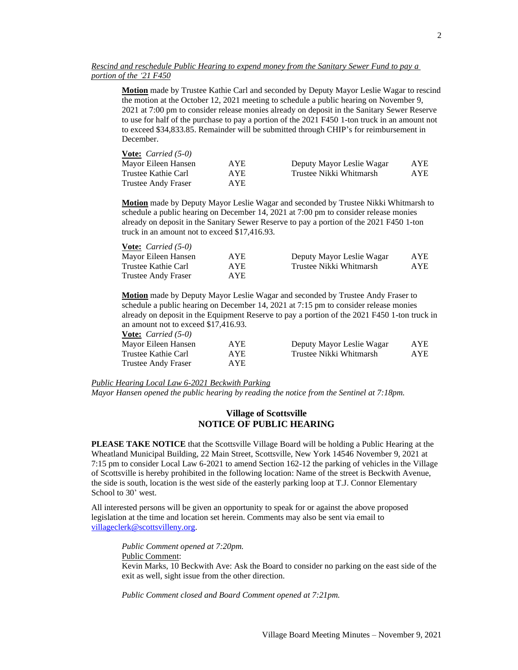**Motion** made by Trustee Kathie Carl and seconded by Deputy Mayor Leslie Wagar to rescind the motion at the October 12, 2021 meeting to schedule a public hearing on November 9, 2021 at 7:00 pm to consider release monies already on deposit in the Sanitary Sewer Reserve to use for half of the purchase to pay a portion of the 2021 F450 1-ton truck in an amount not to exceed \$34,833.85. Remainder will be submitted through CHIP's for reimbursement in December.

| <b>Vote:</b> <i>Carried</i> $(5-0)$ |            |                           |      |
|-------------------------------------|------------|---------------------------|------|
| Mayor Eileen Hansen                 | <b>AYE</b> | Deputy Mayor Leslie Wagar | AYE. |
| Trustee Kathie Carl                 | AYE.       | Trustee Nikki Whitmarsh   | AYE. |
| Trustee Andy Fraser                 | AYE.       |                           |      |

**Motion** made by Deputy Mayor Leslie Wagar and seconded by Trustee Nikki Whitmarsh to schedule a public hearing on December 14, 2021 at 7:00 pm to consider release monies already on deposit in the Sanitary Sewer Reserve to pay a portion of the 2021 F450 1-ton truck in an amount not to exceed \$17,416.93.

| <b>Vote:</b> <i>Carried</i> $(5-0)$ |            |                           |     |
|-------------------------------------|------------|---------------------------|-----|
| Mayor Eileen Hansen                 | <b>AYE</b> | Deputy Mayor Leslie Wagar | AYE |
| Trustee Kathie Carl                 | AYE.       | Trustee Nikki Whitmarsh   | AYE |
| Trustee Andy Fraser                 | AYE.       |                           |     |

**Motion** made by Deputy Mayor Leslie Wagar and seconded by Trustee Andy Fraser to schedule a public hearing on December 14, 2021 at 7:15 pm to consider release monies already on deposit in the Equipment Reserve to pay a portion of the 2021 F450 1-ton truck in an amount not to exceed \$17,416.93. **Vote:** *Carried (5-0)*

| $\overline{v}$ vulled ( <i>J-0)</i> |      |                           |      |
|-------------------------------------|------|---------------------------|------|
| Mayor Eileen Hansen                 | AYE  | Deputy Mayor Leslie Wagar | AYE. |
| Trustee Kathie Carl                 | AYE. | Trustee Nikki Whitmarsh   | AYE. |
| Trustee Andy Fraser                 | AYE. |                           |      |

*Public Hearing Local Law 6-2021 Beckwith Parking*

*Mayor Hansen opened the public hearing by reading the notice from the Sentinel at 7:18pm.*

## **Village of Scottsville NOTICE OF PUBLIC HEARING**

**PLEASE TAKE NOTICE** that the Scottsville Village Board will be holding a Public Hearing at the Wheatland Municipal Building, 22 Main Street, Scottsville, New York 14546 November 9, 2021 at 7:15 pm to consider Local Law 6-2021 to amend Section 162-12 the parking of vehicles in the Village of Scottsville is hereby prohibited in the following location: Name of the street is Beckwith Avenue, the side is south, location is the west side of the easterly parking loop at T.J. Connor Elementary School to 30' west.

All interested persons will be given an opportunity to speak for or against the above proposed legislation at the time and location set herein. Comments may also be sent via email to [villageclerk@scottsvilleny.org.](mailto:villageclerk@scottsvilleny.org)

*Public Comment opened at 7:20pm.* Public Comment:

Kevin Marks, 10 Beckwith Ave: Ask the Board to consider no parking on the east side of the exit as well, sight issue from the other direction.

*Public Comment closed and Board Comment opened at 7:21pm.*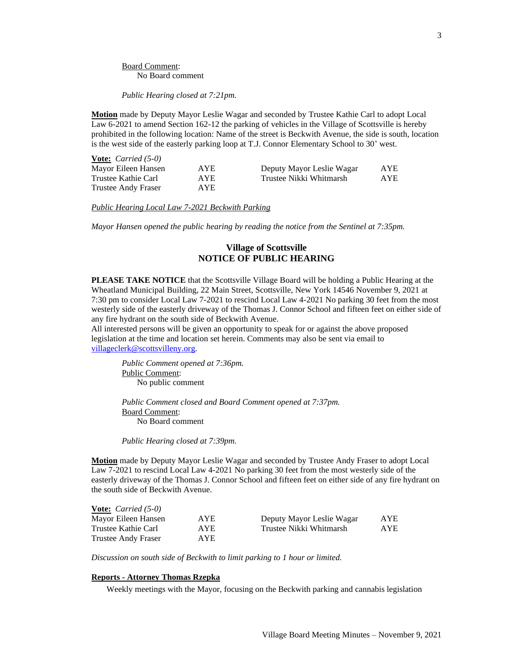Board Comment: No Board comment

*Public Hearing closed at 7:21pm.*

**Motion** made by Deputy Mayor Leslie Wagar and seconded by Trustee Kathie Carl to adopt Local Law 6-2021 to amend Section 162-12 the parking of vehicles in the Village of Scottsville is hereby prohibited in the following location: Name of the street is Beckwith Avenue, the side is south, location is the west side of the easterly parking loop at T.J. Connor Elementary School to 30' west.

| <b>Vote:</b> <i>Carried</i> $(5-0)$ |      |                           |      |
|-------------------------------------|------|---------------------------|------|
| Mayor Eileen Hansen                 | AYE  | Deputy Mayor Leslie Wagar | AYE. |
| Trustee Kathie Carl                 | AYE. | Trustee Nikki Whitmarsh   | AYE. |
| <b>Trustee Andy Fraser</b>          | AYE. |                           |      |

*Public Hearing Local Law 7-2021 Beckwith Parking*

*Mayor Hansen opened the public hearing by reading the notice from the Sentinel at 7:35pm.*

## **Village of Scottsville NOTICE OF PUBLIC HEARING**

**PLEASE TAKE NOTICE** that the Scottsville Village Board will be holding a Public Hearing at the Wheatland Municipal Building, 22 Main Street, Scottsville, New York 14546 November 9, 2021 at 7:30 pm to consider Local Law 7-2021 to rescind Local Law 4-2021 No parking 30 feet from the most westerly side of the easterly driveway of the Thomas J. Connor School and fifteen feet on either side of any fire hydrant on the south side of Beckwith Avenue.

All interested persons will be given an opportunity to speak for or against the above proposed legislation at the time and location set herein. Comments may also be sent via email to [villageclerk@scottsvilleny.org.](mailto:villageclerk@scottsvilleny.org)

*Public Comment opened at 7:36pm.* Public Comment: No public comment

*Public Comment closed and Board Comment opened at 7:37pm.* Board Comment: No Board comment

*Public Hearing closed at 7:39pm.*

**Motion** made by Deputy Mayor Leslie Wagar and seconded by Trustee Andy Fraser to adopt Local Law 7-2021 to rescind Local Law 4-2021 No parking 30 feet from the most westerly side of the easterly driveway of the Thomas J. Connor School and fifteen feet on either side of any fire hydrant on the south side of Beckwith Avenue.

| <b>Vote:</b> <i>Carried</i> $(5-0)$ |      |                           |            |
|-------------------------------------|------|---------------------------|------------|
| Mayor Eileen Hansen                 | AYE. | Deputy Mayor Leslie Wagar | <b>AYE</b> |
| Trustee Kathie Carl                 | AYE. | Trustee Nikki Whitmarsh   | <b>AYE</b> |
| Trustee Andy Fraser                 | AYE. |                           |            |

*Discussion on south side of Beckwith to limit parking to 1 hour or limited.*

### **Reports - Attorney Thomas Rzepka**

Weekly meetings with the Mayor, focusing on the Beckwith parking and cannabis legislation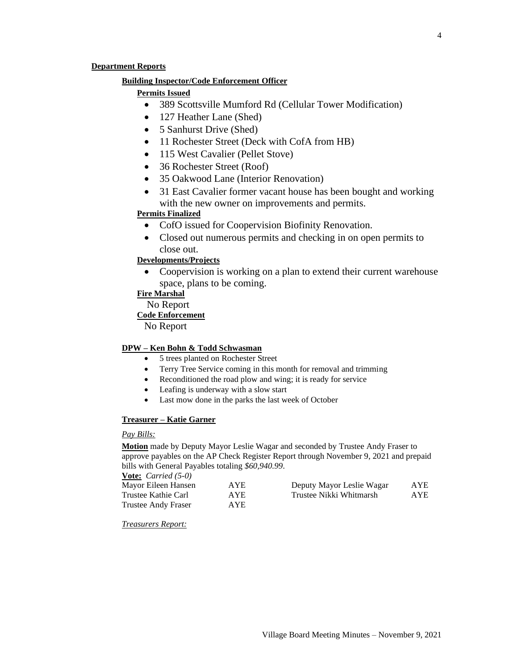### **Department Reports**

## **Building Inspector/Code Enforcement Officer**

# **Permits Issued**

- 389 Scottsville Mumford Rd (Cellular Tower Modification)
- 127 Heather Lane (Shed)
- 5 Sanhurst Drive (Shed)
- 11 Rochester Street (Deck with CofA from HB)
- 115 West Cavalier (Pellet Stove)
- 36 Rochester Street (Roof)
- 35 Oakwood Lane (Interior Renovation)
- 31 East Cavalier former vacant house has been bought and working with the new owner on improvements and permits.

## **Permits Finalized**

- CofO issued for Coopervision Biofinity Renovation.
- Closed out numerous permits and checking in on open permits to close out.

# **Developments/Projects**

• Coopervision is working on a plan to extend their current warehouse space, plans to be coming.

# **Fire Marshal**

No Report

## **Code Enforcement**

No Report

## **DPW – Ken Bohn & Todd Schwasman**

- 5 trees planted on Rochester Street
- Terry Tree Service coming in this month for removal and trimming
- Reconditioned the road plow and wing; it is ready for service
- Leafing is underway with a slow start
- Last mow done in the parks the last week of October

## **Treasurer – Katie Garner**

### *Pay Bills:*

**Motion** made by Deputy Mayor Leslie Wagar and seconded by Trustee Andy Fraser to approve payables on the AP Check Register Report through November 9, 2021 and prepaid bills with General Payables totaling *\$60,940.99*.

**Vote:** *Carried (5-0)*

| Mayor Eileen Hansen | <b>AYE</b> | Deputy Mayor Leslie Wagar | AYE  |
|---------------------|------------|---------------------------|------|
| Trustee Kathie Carl | <b>AYE</b> | Trustee Nikki Whitmarsh   | AYE. |
| Trustee Andy Fraser | <b>AYE</b> |                           |      |

*Treasurers Report:*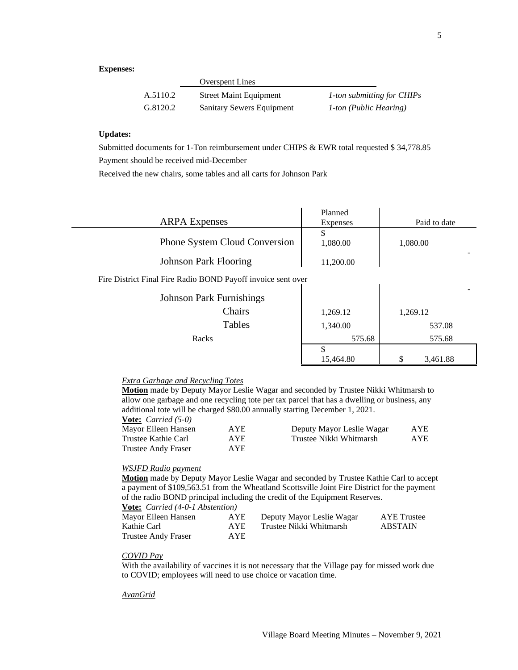## **Expenses:**

|          | <b>Overspent Lines</b>        |                               |
|----------|-------------------------------|-------------------------------|
| A.5110.2 | <b>Street Maint Equipment</b> | 1-ton submitting for CHIPs    |
| G.8120.2 | Sanitary Sewers Equipment     | <i>1-ton (Public Hearing)</i> |

## **Updates:**

Submitted documents for 1-Ton reimbursement under CHIPS & EWR total requested \$ 34,778.85 Payment should be received mid-December

Received the new chairs, some tables and all carts for Johnson Park

| <b>ARPA</b> Expenses                                         | Planned<br>Expenses | Paid to date |
|--------------------------------------------------------------|---------------------|--------------|
|                                                              | \$                  |              |
| <b>Phone System Cloud Conversion</b>                         | 1,080.00            | 1,080.00     |
| <b>Johnson Park Flooring</b>                                 | 11,200.00           |              |
| Fire District Final Fire Radio BOND Payoff invoice sent over |                     |              |
| <b>Johnson Park Furnishings</b>                              |                     |              |
| Chairs                                                       | 1,269.12            | 1,269.12     |
| Tables                                                       | 1,340.00            | 537.08       |
| Racks                                                        | 575.68              | 575.68       |
|                                                              | \$                  |              |
|                                                              | 15,464.80           | 3,461.88     |

 $\mathbb{R}^2$ 

#### *Extra Garbage and Recycling Totes*

**Motion** made by Deputy Mayor Leslie Wagar and seconded by Trustee Nikki Whitmarsh to allow one garbage and one recycling tote per tax parcel that has a dwelling or business, any additional tote will be charged \$80.00 annually starting December 1, 2021.

| <b>Vote:</b> <i>Carried</i> $(5-0)$ |            |                           |            |
|-------------------------------------|------------|---------------------------|------------|
| Mayor Eileen Hansen                 | <b>AYE</b> | Deputy Mayor Leslie Wagar | <b>AYE</b> |
| Trustee Kathie Carl                 | AYE.       | Trustee Nikki Whitmarsh   | AYE        |
| Trustee Andy Fraser                 | AYE.       |                           |            |

#### *WSJFD Radio payment*

**Motion** made by Deputy Mayor Leslie Wagar and seconded by Trustee Kathie Carl to accept a payment of \$109,563.51 from the Wheatland Scottsville Joint Fire District for the payment of the radio BOND principal including the credit of the Equipment Reserves.

#### **Vote:** *Carried (4-0-1 Abstention)*

| Mayor Eileen Hansen | AYE  | Deputy Mayor Leslie Wagar | AYE Trustee |
|---------------------|------|---------------------------|-------------|
| Kathie Carl         | AYE. | Trustee Nikki Whitmarsh   | ABSTAIN     |
| Trustee Andy Fraser | AYE. |                           |             |

### *COVID Pay*

With the availability of vaccines it is not necessary that the Village pay for missed work due to COVID; employees will need to use choice or vacation time.

#### *AvanGrid*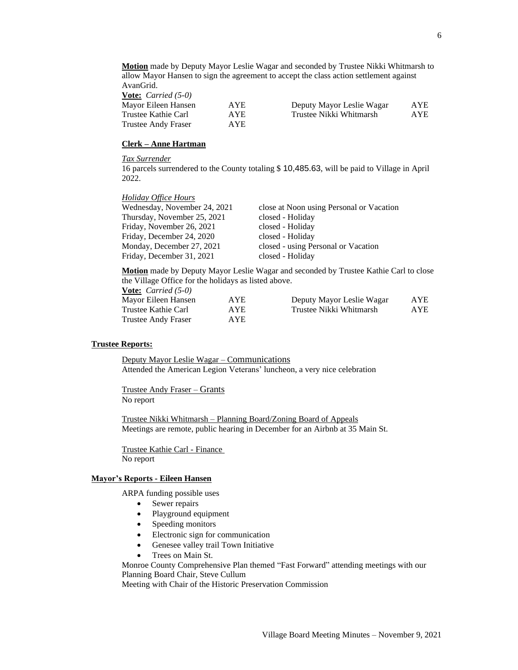**Motion** made by Deputy Mayor Leslie Wagar and seconded by Trustee Nikki Whitmarsh to allow Mayor Hansen to sign the agreement to accept the class action settlement against AvanGrid. **Vote:** *Carried (5-0)*

| Mayor Eileen Hansen | <b>AYE</b> | Deputy Mayor Leslie Wagar | AYE. |
|---------------------|------------|---------------------------|------|
| Trustee Kathie Carl | <b>AYE</b> | Trustee Nikki Whitmarsh   | AYE. |
| Trustee Andy Fraser | <b>AYE</b> |                           |      |

### **Clerk – Anne Hartman**

### *Tax Surrender*

16 parcels surrendered to the County totaling \$ 10,485.63, will be paid to Village in April 2022.

#### *Holiday Office Hours*

| Wednesday, November 24, 2021 | close at Noon using Personal or Vacation |
|------------------------------|------------------------------------------|
| Thursday, November 25, 2021  | closed - Holiday                         |
| Friday, November 26, 2021    | closed - Holiday                         |
| Friday, December 24, 2020    | closed - Holiday                         |
| Monday, December 27, 2021    | closed - using Personal or Vacation      |
| Friday, December 31, 2021    | closed - Holiday                         |
|                              |                                          |

**Motion** made by Deputy Mayor Leslie Wagar and seconded by Trustee Kathie Carl to close the Village Office for the holidays as listed above.

**Vote:** *Carried (5-0)*

| Mayor Eileen Hansen | <b>AYE</b> | Deputy Mayor Leslie Wagar | <b>AYE</b> |
|---------------------|------------|---------------------------|------------|
| Trustee Kathie Carl | AYE.       | Trustee Nikki Whitmarsh   | <b>AYE</b> |
| Trustee Andy Fraser | AYE.       |                           |            |

### **Trustee Reports:**

Deputy Mayor Leslie Wagar – Communications Attended the American Legion Veterans' luncheon, a very nice celebration

Trustee Andy Fraser – Grants No report

Trustee Nikki Whitmarsh – Planning Board/Zoning Board of Appeals Meetings are remote, public hearing in December for an Airbnb at 35 Main St.

Trustee Kathie Carl - Finance No report

### **Mayor's Reports - Eileen Hansen**

ARPA funding possible uses

- Sewer repairs
- Playground equipment
- Speeding monitors
- Electronic sign for communication
- Genesee valley trail Town Initiative
- Trees on Main St.

Monroe County Comprehensive Plan themed "Fast Forward" attending meetings with our Planning Board Chair, Steve Cullum

Meeting with Chair of the Historic Preservation Commission